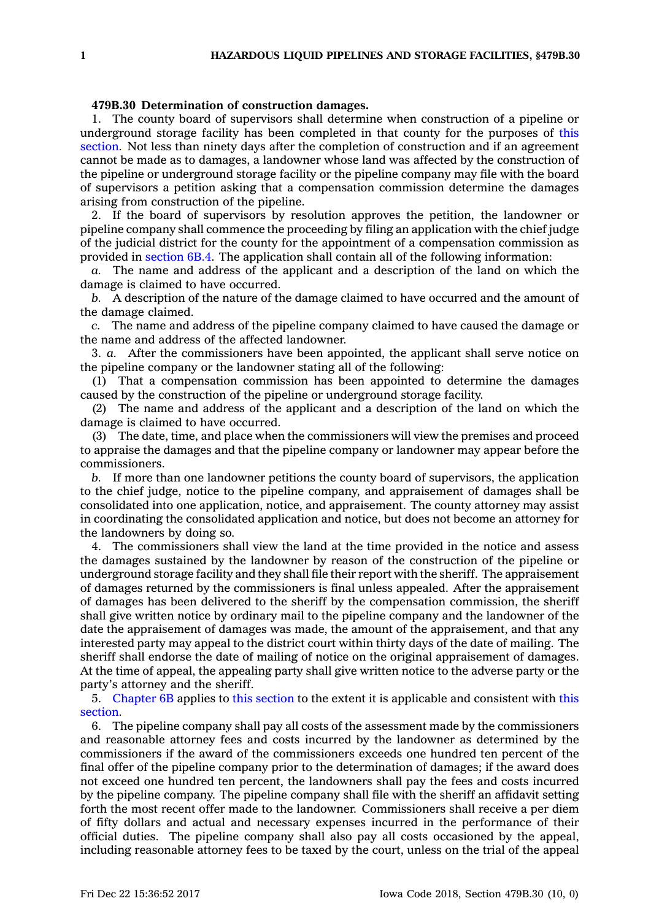## **479B.30 Determination of construction damages.**

1. The county board of supervisors shall determine when construction of <sup>a</sup> pipeline or underground storage facility has been completed in that county for the purposes of [this](https://www.legis.iowa.gov/docs/code/479B.30.pdf) [section](https://www.legis.iowa.gov/docs/code/479B.30.pdf). Not less than ninety days after the completion of construction and if an agreement cannot be made as to damages, <sup>a</sup> landowner whose land was affected by the construction of the pipeline or underground storage facility or the pipeline company may file with the board of supervisors <sup>a</sup> petition asking that <sup>a</sup> compensation commission determine the damages arising from construction of the pipeline.

2. If the board of supervisors by resolution approves the petition, the landowner or pipeline company shall commence the proceeding by filing an application with the chief judge of the judicial district for the county for the appointment of <sup>a</sup> compensation commission as provided in [section](https://www.legis.iowa.gov/docs/code/6B.4.pdf) 6B.4. The application shall contain all of the following information:

*a.* The name and address of the applicant and <sup>a</sup> description of the land on which the damage is claimed to have occurred.

*b.* A description of the nature of the damage claimed to have occurred and the amount of the damage claimed.

*c.* The name and address of the pipeline company claimed to have caused the damage or the name and address of the affected landowner.

3. *a.* After the commissioners have been appointed, the applicant shall serve notice on the pipeline company or the landowner stating all of the following:

(1) That <sup>a</sup> compensation commission has been appointed to determine the damages caused by the construction of the pipeline or underground storage facility.

(2) The name and address of the applicant and <sup>a</sup> description of the land on which the damage is claimed to have occurred.

(3) The date, time, and place when the commissioners will view the premises and proceed to appraise the damages and that the pipeline company or landowner may appear before the commissioners.

*b.* If more than one landowner petitions the county board of supervisors, the application to the chief judge, notice to the pipeline company, and appraisement of damages shall be consolidated into one application, notice, and appraisement. The county attorney may assist in coordinating the consolidated application and notice, but does not become an attorney for the landowners by doing so.

4. The commissioners shall view the land at the time provided in the notice and assess the damages sustained by the landowner by reason of the construction of the pipeline or underground storage facility and they shall file their report with the sheriff. The appraisement of damages returned by the commissioners is final unless appealed. After the appraisement of damages has been delivered to the sheriff by the compensation commission, the sheriff shall give written notice by ordinary mail to the pipeline company and the landowner of the date the appraisement of damages was made, the amount of the appraisement, and that any interested party may appeal to the district court within thirty days of the date of mailing. The sheriff shall endorse the date of mailing of notice on the original appraisement of damages. At the time of appeal, the appealing party shall give written notice to the adverse party or the party's attorney and the sheriff.

5. [Chapter](https://www.legis.iowa.gov/docs/code//6B.pdf) 6B applies to this [section](https://www.legis.iowa.gov/docs/code/479B.30.pdf) to the extent it is applicable and consistent with [this](https://www.legis.iowa.gov/docs/code/479B.30.pdf) [section](https://www.legis.iowa.gov/docs/code/479B.30.pdf).

6. The pipeline company shall pay all costs of the assessment made by the commissioners and reasonable attorney fees and costs incurred by the landowner as determined by the commissioners if the award of the commissioners exceeds one hundred ten percent of the final offer of the pipeline company prior to the determination of damages; if the award does not exceed one hundred ten percent, the landowners shall pay the fees and costs incurred by the pipeline company. The pipeline company shall file with the sheriff an affidavit setting forth the most recent offer made to the landowner. Commissioners shall receive <sup>a</sup> per diem of fifty dollars and actual and necessary expenses incurred in the performance of their official duties. The pipeline company shall also pay all costs occasioned by the appeal, including reasonable attorney fees to be taxed by the court, unless on the trial of the appeal